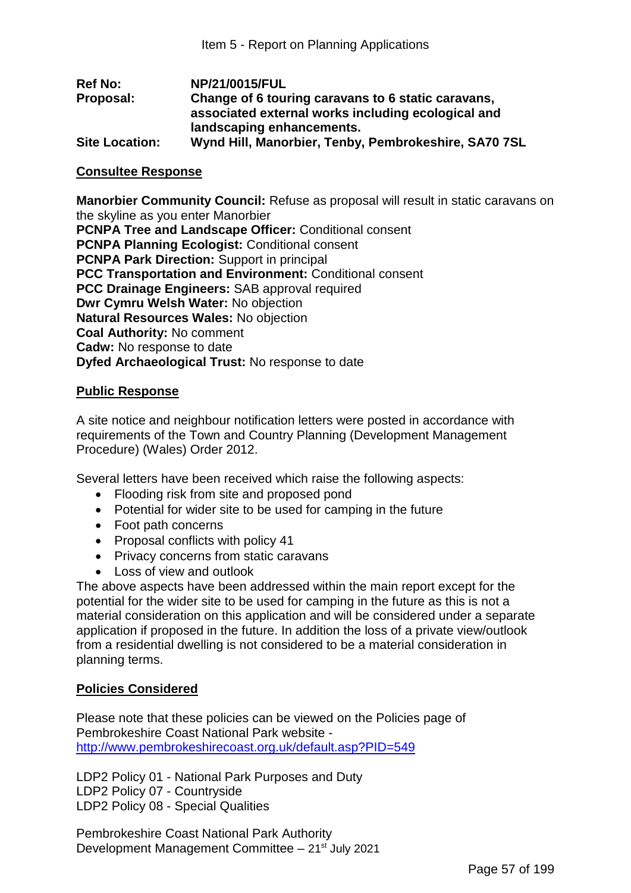| <b>Ref No:</b>        | NP/21/0015/FUL                                       |
|-----------------------|------------------------------------------------------|
| Proposal:             | Change of 6 touring caravans to 6 static caravans,   |
|                       | associated external works including ecological and   |
|                       | landscaping enhancements.                            |
| <b>Site Location:</b> | Wynd Hill, Manorbier, Tenby, Pembrokeshire, SA70 7SL |

### **Consultee Response**

**Manorbier Community Council:** Refuse as proposal will result in static caravans on the skyline as you enter Manorbier **PCNPA Tree and Landscape Officer:** Conditional consent **PCNPA Planning Ecologist:** Conditional consent **PCNPA Park Direction:** Support in principal **PCC Transportation and Environment:** Conditional consent **PCC Drainage Engineers:** SAB approval required **Dwr Cymru Welsh Water:** No objection **Natural Resources Wales:** No objection **Coal Authority:** No comment **Cadw:** No response to date **Dyfed Archaeological Trust:** No response to date

### **Public Response**

A site notice and neighbour notification letters were posted in accordance with requirements of the Town and Country Planning (Development Management Procedure) (Wales) Order 2012.

Several letters have been received which raise the following aspects:

- Flooding risk from site and proposed pond
- Potential for wider site to be used for camping in the future
- Foot path concerns
- Proposal conflicts with policy 41
- Privacy concerns from static caravans
- Loss of view and outlook

The above aspects have been addressed within the main report except for the potential for the wider site to be used for camping in the future as this is not a material consideration on this application and will be considered under a separate application if proposed in the future. In addition the loss of a private view/outlook from a residential dwelling is not considered to be a material consideration in planning terms.

### **Policies Considered**

Please note that these policies can be viewed on the Policies page of Pembrokeshire Coast National Park website http://www.pembrokeshirecoast.org.uk/default.asp?PID=549

LDP2 Policy 01 - National Park Purposes and Duty LDP2 Policy 07 - Countryside LDP2 Policy 08 - Special Qualities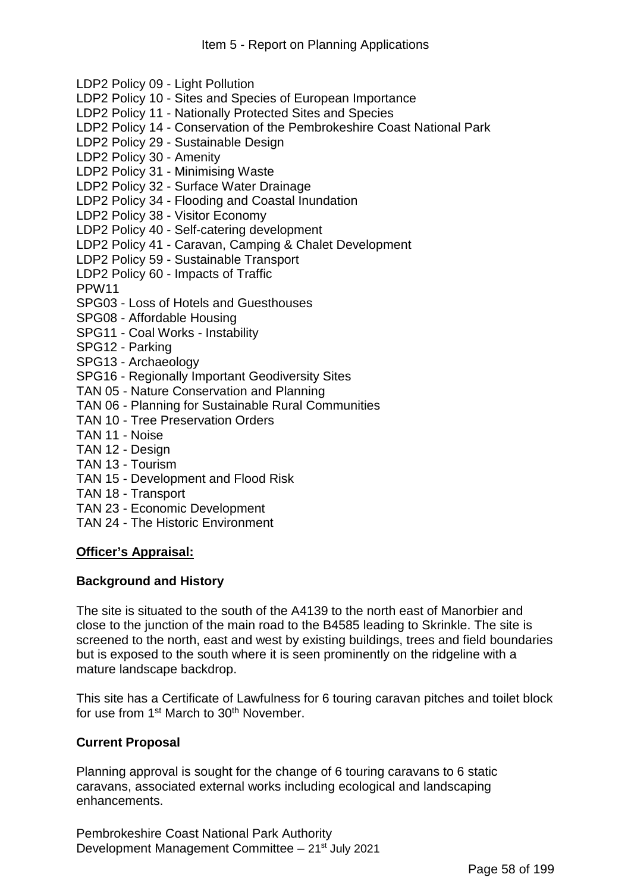LDP2 Policy 09 - Light Pollution LDP2 Policy 10 - Sites and Species of European Importance LDP2 Policy 11 - Nationally Protected Sites and Species LDP2 Policy 14 - Conservation of the Pembrokeshire Coast National Park LDP2 Policy 29 - Sustainable Design LDP2 Policy 30 - Amenity LDP2 Policy 31 - Minimising Waste LDP2 Policy 32 - Surface Water Drainage LDP2 Policy 34 - Flooding and Coastal Inundation LDP2 Policy 38 - Visitor Economy LDP2 Policy 40 - Self-catering development LDP2 Policy 41 - Caravan, Camping & Chalet Development LDP2 Policy 59 - Sustainable Transport LDP2 Policy 60 - Impacts of Traffic PPW11 SPG03 - Loss of Hotels and Guesthouses SPG08 - Affordable Housing SPG11 - Coal Works - Instability SPG12 - Parking SPG13 - Archaeology SPG16 - Regionally Important Geodiversity Sites TAN 05 - Nature Conservation and Planning TAN 06 - Planning for Sustainable Rural Communities TAN 10 - Tree Preservation Orders TAN 11 - Noise TAN 12 - Design TAN 13 - Tourism TAN 15 - Development and Flood Risk TAN 18 - Transport

- TAN 23 Economic Development
- TAN 24 The Historic Environment

### **Officer's Appraisal:**

### **Background and History**

The site is situated to the south of the A4139 to the north east of Manorbier and close to the junction of the main road to the B4585 leading to Skrinkle. The site is screened to the north, east and west by existing buildings, trees and field boundaries but is exposed to the south where it is seen prominently on the ridgeline with a mature landscape backdrop.

This site has a Certificate of Lawfulness for 6 touring caravan pitches and toilet block for use from 1<sup>st</sup> March to 30<sup>th</sup> November.

### **Current Proposal**

Planning approval is sought for the change of 6 touring caravans to 6 static caravans, associated external works including ecological and landscaping enhancements.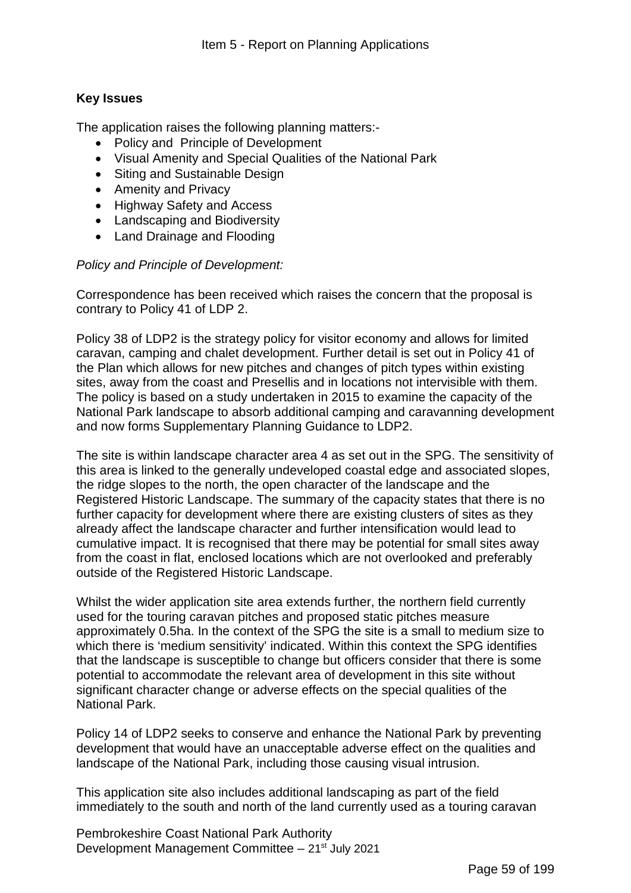### **Key Issues**

The application raises the following planning matters:-

- Policy and Principle of Development
- Visual Amenity and Special Qualities of the National Park
- Siting and Sustainable Design
- Amenity and Privacy
- Highway Safety and Access
- Landscaping and Biodiversity
- Land Drainage and Flooding

### *Policy and Principle of Development:*

Correspondence has been received which raises the concern that the proposal is contrary to Policy 41 of LDP 2.

Policy 38 of LDP2 is the strategy policy for visitor economy and allows for limited caravan, camping and chalet development. Further detail is set out in Policy 41 of the Plan which allows for new pitches and changes of pitch types within existing sites, away from the coast and Presellis and in locations not intervisible with them. The policy is based on a study undertaken in 2015 to examine the capacity of the National Park landscape to absorb additional camping and caravanning development and now forms Supplementary Planning Guidance to LDP2.

The site is within landscape character area 4 as set out in the SPG. The sensitivity of this area is linked to the generally undeveloped coastal edge and associated slopes, the ridge slopes to the north, the open character of the landscape and the Registered Historic Landscape. The summary of the capacity states that there is no further capacity for development where there are existing clusters of sites as they already affect the landscape character and further intensification would lead to cumulative impact. It is recognised that there may be potential for small sites away from the coast in flat, enclosed locations which are not overlooked and preferably outside of the Registered Historic Landscape.

Whilst the wider application site area extends further, the northern field currently used for the touring caravan pitches and proposed static pitches measure approximately 0.5ha. In the context of the SPG the site is a small to medium size to which there is 'medium sensitivity' indicated. Within this context the SPG identifies that the landscape is susceptible to change but officers consider that there is some potential to accommodate the relevant area of development in this site without significant character change or adverse effects on the special qualities of the National Park.

Policy 14 of LDP2 seeks to conserve and enhance the National Park by preventing development that would have an unacceptable adverse effect on the qualities and landscape of the National Park, including those causing visual intrusion.

This application site also includes additional landscaping as part of the field immediately to the south and north of the land currently used as a touring caravan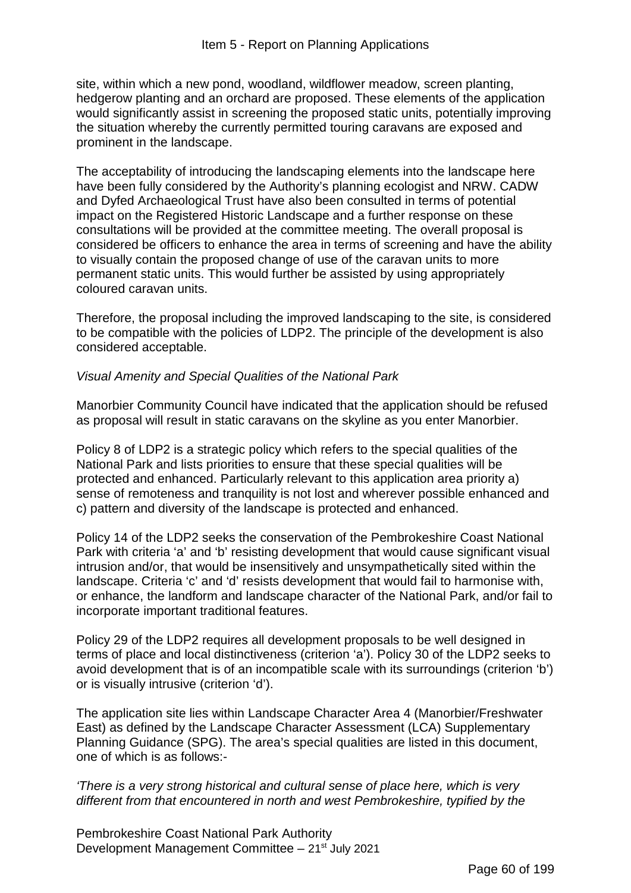site, within which a new pond, woodland, wildflower meadow, screen planting, hedgerow planting and an orchard are proposed. These elements of the application would significantly assist in screening the proposed static units, potentially improving the situation whereby the currently permitted touring caravans are exposed and prominent in the landscape.

The acceptability of introducing the landscaping elements into the landscape here have been fully considered by the Authority's planning ecologist and NRW. CADW and Dyfed Archaeological Trust have also been consulted in terms of potential impact on the Registered Historic Landscape and a further response on these consultations will be provided at the committee meeting. The overall proposal is considered be officers to enhance the area in terms of screening and have the ability to visually contain the proposed change of use of the caravan units to more permanent static units. This would further be assisted by using appropriately coloured caravan units.

Therefore, the proposal including the improved landscaping to the site, is considered to be compatible with the policies of LDP2. The principle of the development is also considered acceptable.

### *Visual Amenity and Special Qualities of the National Park*

Manorbier Community Council have indicated that the application should be refused as proposal will result in static caravans on the skyline as you enter Manorbier.

Policy 8 of LDP2 is a strategic policy which refers to the special qualities of the National Park and lists priorities to ensure that these special qualities will be protected and enhanced. Particularly relevant to this application area priority a) sense of remoteness and tranquility is not lost and wherever possible enhanced and c) pattern and diversity of the landscape is protected and enhanced.

Policy 14 of the LDP2 seeks the conservation of the Pembrokeshire Coast National Park with criteria 'a' and 'b' resisting development that would cause significant visual intrusion and/or, that would be insensitively and unsympathetically sited within the landscape. Criteria 'c' and 'd' resists development that would fail to harmonise with, or enhance, the landform and landscape character of the National Park, and/or fail to incorporate important traditional features.

Policy 29 of the LDP2 requires all development proposals to be well designed in terms of place and local distinctiveness (criterion 'a'). Policy 30 of the LDP2 seeks to avoid development that is of an incompatible scale with its surroundings (criterion 'b') or is visually intrusive (criterion 'd').

The application site lies within Landscape Character Area 4 (Manorbier/Freshwater East) as defined by the Landscape Character Assessment (LCA) Supplementary Planning Guidance (SPG). The area's special qualities are listed in this document, one of which is as follows:-

### *'There is a very strong historical and cultural sense of place here, which is very different from that encountered in north and west Pembrokeshire, typified by the*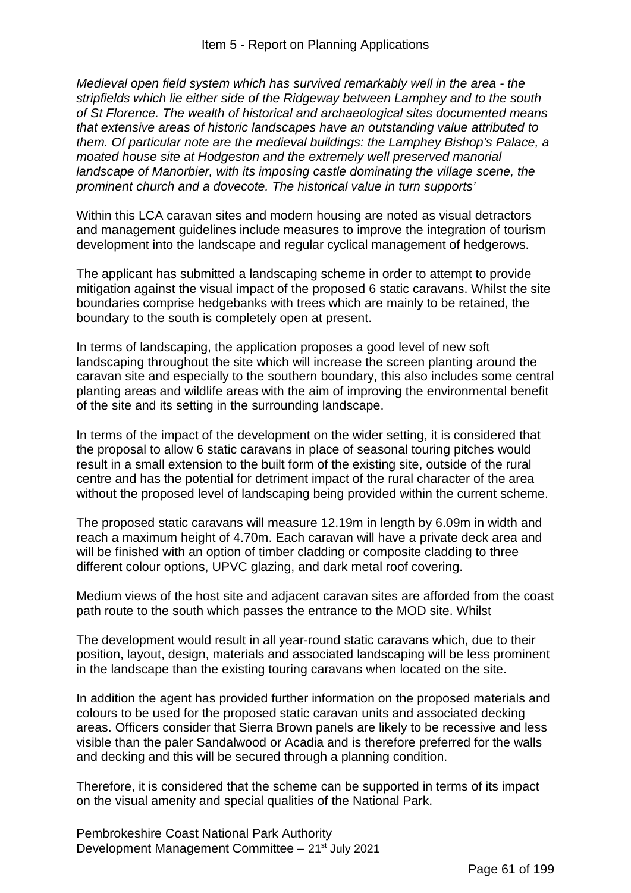*Medieval open field system which has survived remarkably well in the area - the stripfields which lie either side of the Ridgeway between Lamphey and to the south of St Florence. The wealth of historical and archaeological sites documented means that extensive areas of historic landscapes have an outstanding value attributed to them. Of particular note are the medieval buildings: the Lamphey Bishop's Palace, a moated house site at Hodgeston and the extremely well preserved manorial landscape of Manorbier, with its imposing castle dominating the village scene, the prominent church and a dovecote. The historical value in turn supports'*

Within this LCA caravan sites and modern housing are noted as visual detractors and management guidelines include measures to improve the integration of tourism development into the landscape and regular cyclical management of hedgerows.

The applicant has submitted a landscaping scheme in order to attempt to provide mitigation against the visual impact of the proposed 6 static caravans. Whilst the site boundaries comprise hedgebanks with trees which are mainly to be retained, the boundary to the south is completely open at present.

In terms of landscaping, the application proposes a good level of new soft landscaping throughout the site which will increase the screen planting around the caravan site and especially to the southern boundary, this also includes some central planting areas and wildlife areas with the aim of improving the environmental benefit of the site and its setting in the surrounding landscape.

In terms of the impact of the development on the wider setting, it is considered that the proposal to allow 6 static caravans in place of seasonal touring pitches would result in a small extension to the built form of the existing site, outside of the rural centre and has the potential for detriment impact of the rural character of the area without the proposed level of landscaping being provided within the current scheme.

The proposed static caravans will measure 12.19m in length by 6.09m in width and reach a maximum height of 4.70m. Each caravan will have a private deck area and will be finished with an option of timber cladding or composite cladding to three different colour options, UPVC glazing, and dark metal roof covering.

Medium views of the host site and adjacent caravan sites are afforded from the coast path route to the south which passes the entrance to the MOD site. Whilst

The development would result in all year-round static caravans which, due to their position, layout, design, materials and associated landscaping will be less prominent in the landscape than the existing touring caravans when located on the site.

In addition the agent has provided further information on the proposed materials and colours to be used for the proposed static caravan units and associated decking areas. Officers consider that Sierra Brown panels are likely to be recessive and less visible than the paler Sandalwood or Acadia and is therefore preferred for the walls and decking and this will be secured through a planning condition.

Therefore, it is considered that the scheme can be supported in terms of its impact on the visual amenity and special qualities of the National Park.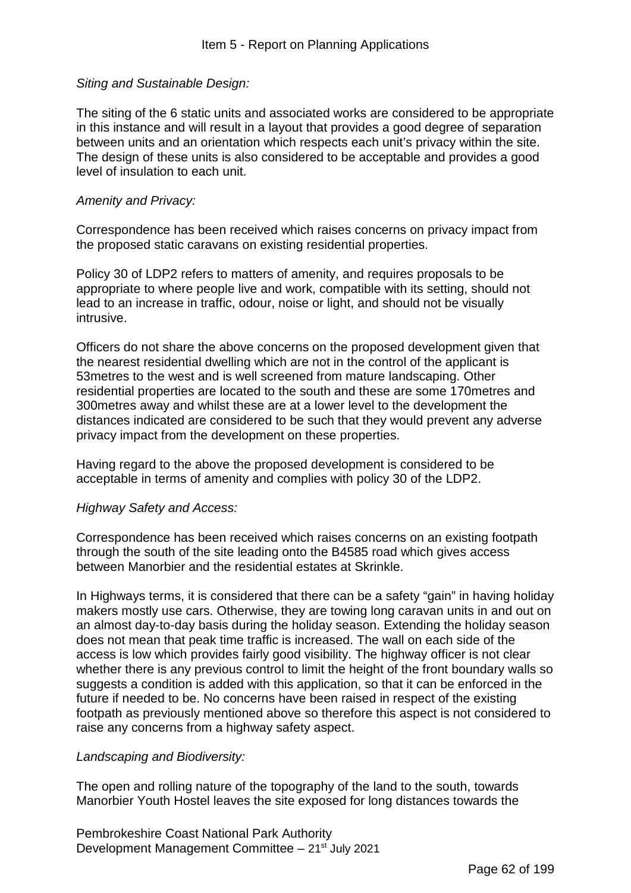### *Siting and Sustainable Design:*

The siting of the 6 static units and associated works are considered to be appropriate in this instance and will result in a layout that provides a good degree of separation between units and an orientation which respects each unit's privacy within the site. The design of these units is also considered to be acceptable and provides a good level of insulation to each unit.

### *Amenity and Privacy:*

Correspondence has been received which raises concerns on privacy impact from the proposed static caravans on existing residential properties.

Policy 30 of LDP2 refers to matters of amenity, and requires proposals to be appropriate to where people live and work, compatible with its setting, should not lead to an increase in traffic, odour, noise or light, and should not be visually intrusive.

Officers do not share the above concerns on the proposed development given that the nearest residential dwelling which are not in the control of the applicant is 53metres to the west and is well screened from mature landscaping. Other residential properties are located to the south and these are some 170metres and 300metres away and whilst these are at a lower level to the development the distances indicated are considered to be such that they would prevent any adverse privacy impact from the development on these properties.

Having regard to the above the proposed development is considered to be acceptable in terms of amenity and complies with policy 30 of the LDP2.

### *Highway Safety and Access:*

Correspondence has been received which raises concerns on an existing footpath through the south of the site leading onto the B4585 road which gives access between Manorbier and the residential estates at Skrinkle.

In Highways terms, it is considered that there can be a safety "gain" in having holiday makers mostly use cars. Otherwise, they are towing long caravan units in and out on an almost day-to-day basis during the holiday season. Extending the holiday season does not mean that peak time traffic is increased. The wall on each side of the access is low which provides fairly good visibility. The highway officer is not clear whether there is any previous control to limit the height of the front boundary walls so suggests a condition is added with this application, so that it can be enforced in the future if needed to be. No concerns have been raised in respect of the existing footpath as previously mentioned above so therefore this aspect is not considered to raise any concerns from a highway safety aspect.

### *Landscaping and Biodiversity:*

The open and rolling nature of the topography of the land to the south, towards Manorbier Youth Hostel leaves the site exposed for long distances towards the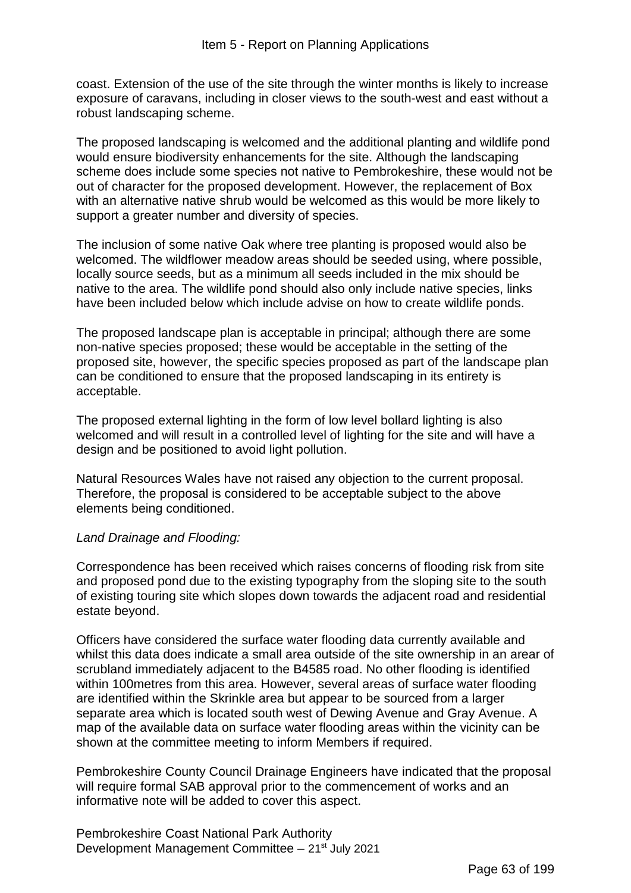coast. Extension of the use of the site through the winter months is likely to increase exposure of caravans, including in closer views to the south-west and east without a robust landscaping scheme.

The proposed landscaping is welcomed and the additional planting and wildlife pond would ensure biodiversity enhancements for the site. Although the landscaping scheme does include some species not native to Pembrokeshire, these would not be out of character for the proposed development. However, the replacement of Box with an alternative native shrub would be welcomed as this would be more likely to support a greater number and diversity of species.

The inclusion of some native Oak where tree planting is proposed would also be welcomed. The wildflower meadow areas should be seeded using, where possible, locally source seeds, but as a minimum all seeds included in the mix should be native to the area. The wildlife pond should also only include native species, links have been included below which include advise on how to create wildlife ponds.

The proposed landscape plan is acceptable in principal; although there are some non-native species proposed; these would be acceptable in the setting of the proposed site, however, the specific species proposed as part of the landscape plan can be conditioned to ensure that the proposed landscaping in its entirety is acceptable.

The proposed external lighting in the form of low level bollard lighting is also welcomed and will result in a controlled level of lighting for the site and will have a design and be positioned to avoid light pollution.

Natural Resources Wales have not raised any objection to the current proposal. Therefore, the proposal is considered to be acceptable subject to the above elements being conditioned.

### *Land Drainage and Flooding:*

Correspondence has been received which raises concerns of flooding risk from site and proposed pond due to the existing typography from the sloping site to the south of existing touring site which slopes down towards the adjacent road and residential estate beyond.

Officers have considered the surface water flooding data currently available and whilst this data does indicate a small area outside of the site ownership in an arear of scrubland immediately adjacent to the B4585 road. No other flooding is identified within 100metres from this area. However, several areas of surface water flooding are identified within the Skrinkle area but appear to be sourced from a larger separate area which is located south west of Dewing Avenue and Gray Avenue. A map of the available data on surface water flooding areas within the vicinity can be shown at the committee meeting to inform Members if required.

Pembrokeshire County Council Drainage Engineers have indicated that the proposal will require formal SAB approval prior to the commencement of works and an informative note will be added to cover this aspect.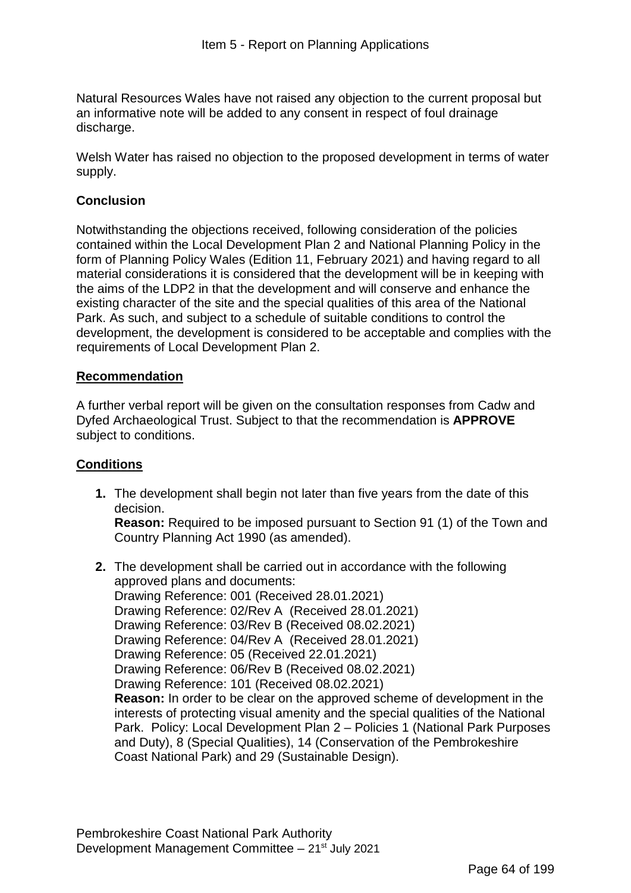Natural Resources Wales have not raised any objection to the current proposal but an informative note will be added to any consent in respect of foul drainage discharge.

Welsh Water has raised no objection to the proposed development in terms of water supply.

## **Conclusion**

Notwithstanding the objections received, following consideration of the policies contained within the Local Development Plan 2 and National Planning Policy in the form of Planning Policy Wales (Edition 11, February 2021) and having regard to all material considerations it is considered that the development will be in keeping with the aims of the LDP2 in that the development and will conserve and enhance the existing character of the site and the special qualities of this area of the National Park. As such, and subject to a schedule of suitable conditions to control the development, the development is considered to be acceptable and complies with the requirements of Local Development Plan 2.

## **Recommendation**

A further verbal report will be given on the consultation responses from Cadw and Dyfed Archaeological Trust. Subject to that the recommendation is **APPROVE**  subject to conditions.

## **Conditions**

**1.** The development shall begin not later than five years from the date of this decision.

**Reason:** Required to be imposed pursuant to Section 91 (1) of the Town and Country Planning Act 1990 (as amended).

**2.** The development shall be carried out in accordance with the following approved plans and documents: Drawing Reference: 001 (Received 28.01.2021) Drawing Reference: 02/Rev A (Received 28.01.2021) Drawing Reference: 03/Rev B (Received 08.02.2021) Drawing Reference: 04/Rev A (Received 28.01.2021) Drawing Reference: 05 (Received 22.01.2021) Drawing Reference: 06/Rev B (Received 08.02.2021) Drawing Reference: 101 (Received 08.02.2021) **Reason:** In order to be clear on the approved scheme of development in the interests of protecting visual amenity and the special qualities of the National Park. Policy: Local Development Plan 2 – Policies 1 (National Park Purposes and Duty), 8 (Special Qualities), 14 (Conservation of the Pembrokeshire Coast National Park) and 29 (Sustainable Design).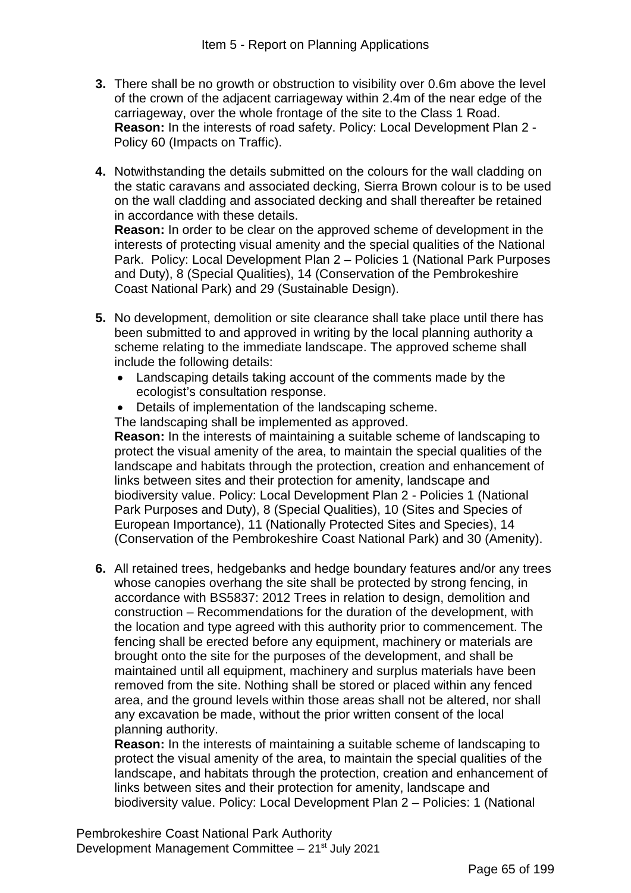- **3.** There shall be no growth or obstruction to visibility over 0.6m above the level of the crown of the adjacent carriageway within 2.4m of the near edge of the carriageway, over the whole frontage of the site to the Class 1 Road. **Reason:** In the interests of road safety. Policy: Local Development Plan 2 - Policy 60 (Impacts on Traffic).
- **4.** Notwithstanding the details submitted on the colours for the wall cladding on the static caravans and associated decking, Sierra Brown colour is to be used on the wall cladding and associated decking and shall thereafter be retained in accordance with these details.

**Reason:** In order to be clear on the approved scheme of development in the interests of protecting visual amenity and the special qualities of the National Park. Policy: Local Development Plan 2 – Policies 1 (National Park Purposes and Duty), 8 (Special Qualities), 14 (Conservation of the Pembrokeshire Coast National Park) and 29 (Sustainable Design).

- **5.** No development, demolition or site clearance shall take place until there has been submitted to and approved in writing by the local planning authority a scheme relating to the immediate landscape. The approved scheme shall include the following details:
	- Landscaping details taking account of the comments made by the ecologist's consultation response.
	- Details of implementation of the landscaping scheme.
	- The landscaping shall be implemented as approved.

**Reason:** In the interests of maintaining a suitable scheme of landscaping to protect the visual amenity of the area, to maintain the special qualities of the landscape and habitats through the protection, creation and enhancement of links between sites and their protection for amenity, landscape and biodiversity value. Policy: Local Development Plan 2 - Policies 1 (National Park Purposes and Duty), 8 (Special Qualities), 10 (Sites and Species of European Importance), 11 (Nationally Protected Sites and Species), 14 (Conservation of the Pembrokeshire Coast National Park) and 30 (Amenity).

**6.** All retained trees, hedgebanks and hedge boundary features and/or any trees whose canopies overhang the site shall be protected by strong fencing, in accordance with BS5837: 2012 Trees in relation to design, demolition and construction – Recommendations for the duration of the development, with the location and type agreed with this authority prior to commencement. The fencing shall be erected before any equipment, machinery or materials are brought onto the site for the purposes of the development, and shall be maintained until all equipment, machinery and surplus materials have been removed from the site. Nothing shall be stored or placed within any fenced area, and the ground levels within those areas shall not be altered, nor shall any excavation be made, without the prior written consent of the local planning authority.

**Reason:** In the interests of maintaining a suitable scheme of landscaping to protect the visual amenity of the area, to maintain the special qualities of the landscape, and habitats through the protection, creation and enhancement of links between sites and their protection for amenity, landscape and biodiversity value. Policy: Local Development Plan 2 – Policies: 1 (National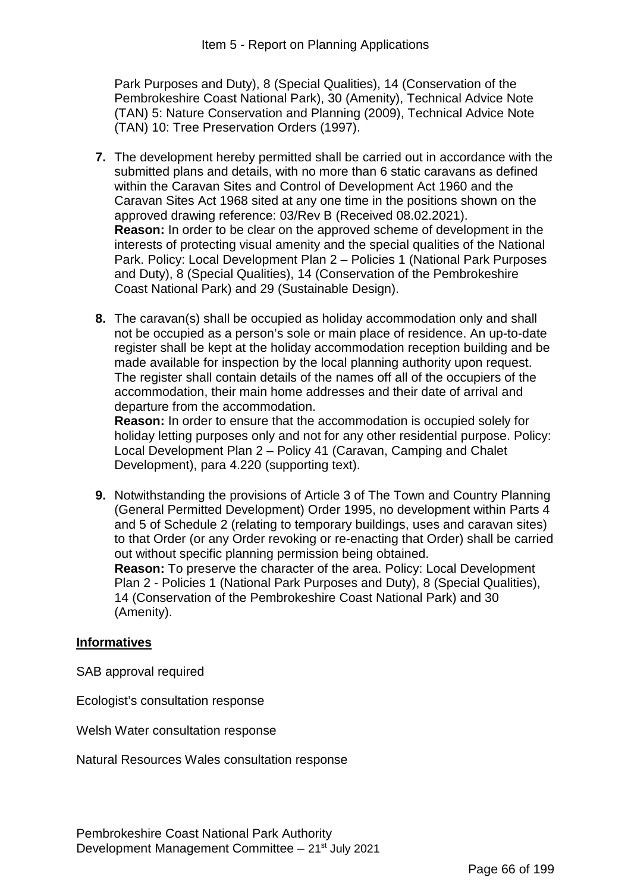Park Purposes and Duty), 8 (Special Qualities), 14 (Conservation of the Pembrokeshire Coast National Park), 30 (Amenity), Technical Advice Note (TAN) 5: Nature Conservation and Planning (2009), Technical Advice Note (TAN) 10: Tree Preservation Orders (1997).

- **7.** The development hereby permitted shall be carried out in accordance with the submitted plans and details, with no more than 6 static caravans as defined within the Caravan Sites and Control of Development Act 1960 and the Caravan Sites Act 1968 sited at any one time in the positions shown on the approved drawing reference: 03/Rev B (Received 08.02.2021). **Reason:** In order to be clear on the approved scheme of development in the interests of protecting visual amenity and the special qualities of the National Park. Policy: Local Development Plan 2 – Policies 1 (National Park Purposes and Duty), 8 (Special Qualities), 14 (Conservation of the Pembrokeshire Coast National Park) and 29 (Sustainable Design).
- **8.** The caravan(s) shall be occupied as holiday accommodation only and shall not be occupied as a person's sole or main place of residence. An up-to-date register shall be kept at the holiday accommodation reception building and be made available for inspection by the local planning authority upon request. The register shall contain details of the names off all of the occupiers of the accommodation, their main home addresses and their date of arrival and departure from the accommodation.

**Reason:** In order to ensure that the accommodation is occupied solely for holiday letting purposes only and not for any other residential purpose. Policy: Local Development Plan 2 – Policy 41 (Caravan, Camping and Chalet Development), para 4.220 (supporting text).

**9.** Notwithstanding the provisions of Article 3 of The Town and Country Planning (General Permitted Development) Order 1995, no development within Parts 4 and 5 of Schedule 2 (relating to temporary buildings, uses and caravan sites) to that Order (or any Order revoking or re-enacting that Order) shall be carried out without specific planning permission being obtained. **Reason:** To preserve the character of the area. Policy: Local Development Plan 2 - Policies 1 (National Park Purposes and Duty), 8 (Special Qualities), 14 (Conservation of the Pembrokeshire Coast National Park) and 30 (Amenity).

### **Informatives**

SAB approval required

Ecologist's consultation response

Welsh Water consultation response

Natural Resources Wales consultation response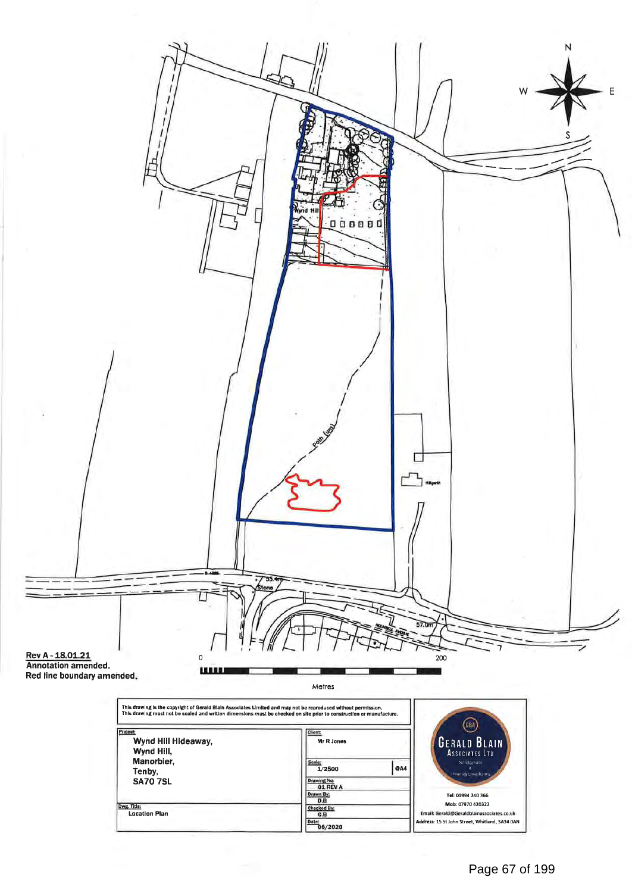

| Manorbier,<br>Tenby,                | Scale<br><b>@A4</b><br>1/2500               | Architectoral<br>Plauara Caprintiano                                                                             |
|-------------------------------------|---------------------------------------------|------------------------------------------------------------------------------------------------------------------|
| <b>SA70 7SL</b>                     | Drawing No:<br>01 REV A<br>Drawn By:<br>D.B | Tel: 01994 240 366                                                                                               |
| Dwg. Title:<br><b>Location Plan</b> | Checked By:<br>G.B<br>Date:<br>06/2020      | Mab: 07970 420322<br>Email: Gerald@Geraldblainassociates.co.uk<br>Address: 15 St John Street, Whitland, SA34 0AN |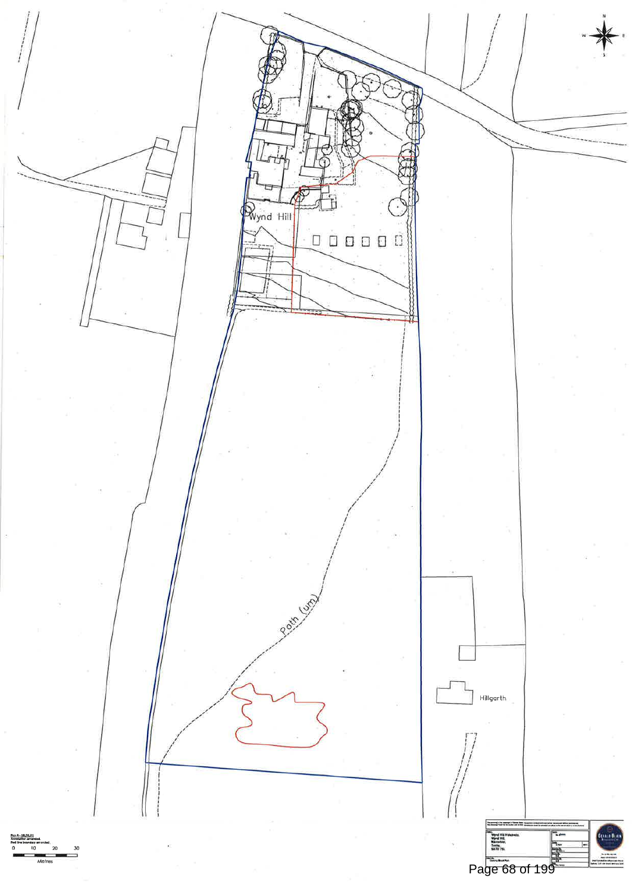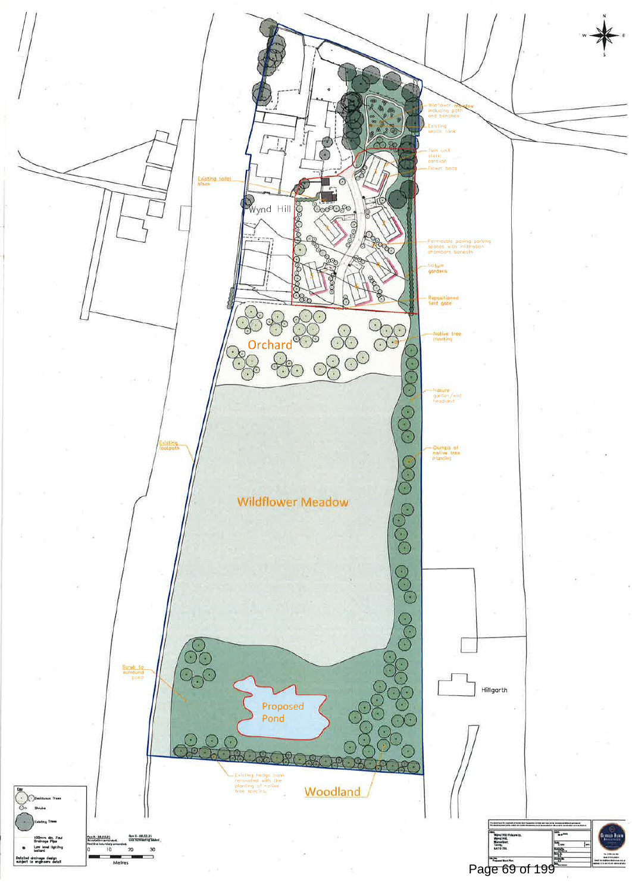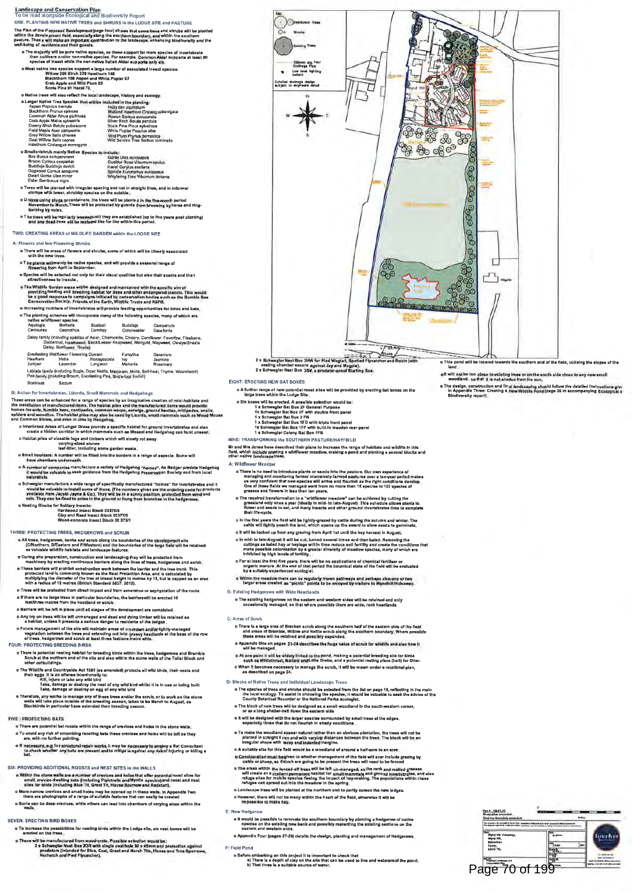

# o Small boulders: A number will be fitted into the borders in a range of aspects. Some will<br>have chambers undernasth.

- new we are of companies manufacture a variety of Hedgehog "homes". As Badger predste Hedgehog<br>It would be valuable to seek guidance from the Hedgehog Preservation Society and from local
- o Schwegier menufacture a wide range of specifically manufactured "homes" for invertebrates and it<br>would be valuable to install some of these, (The numbers given are the ordering code for product<br>available from Jacobi Jayn o Neating B
	-
	- Exis for Solitary Insects:<br>Hardwood Insects:<br>Clay and Reed Insect Block 00370/5<br>Wood-concrete Insect Block 00 375/1

### THREE: PROTECTING TREES, HEDGEROWS and SCRUE

- o All trees, hodgerows, banks and scrub slong the boundaries of the development alto<br>(CAlothern, D/Eastern and F/Western) and the boundaries of the large field will be retained<br>an valuable wildlife habitats and landscape f
- 
- as validate winder an<br>elistic and lendscaping they will be probacted from the properties of<br>the control of the properties of the property precision of the property<br>of the property precision of the property of the property
- o Trees will be protected from direct impact and from severance or asphyziation of the roots o if there are no lerge trees in particular boundaries, the barriers will be erected 10 feet/ihree metres from the headland or scrub
- 
- o Barriers will be left in place until all stages of the development are completed.<br>
O Any ivy on trees will be left unmanaged and dead and dying timber will be retained as<br>
a habitat, unless it presents a sarious danger t
- a mentari, unress is presente a senous center to realize the of the selection of the selection of the selection<br>of the site will maintain areas of un-mown and/or lightly-managed<br>vegetation between the trees and articling o FOUR: PROTECTING BREEDING BIRDS
	-
	-
	- ofter outbuilings.<br>The Wildlibs and Countryside Act 1981 (ss amended) probets all wild birds, their nests and<br>their eggs. It is an offerens intentionally to:<br>The Will, injure or take any wild bird<br>Take, damage or destroy t
- 
- FIVE : PROTECTING BATS
	- o There are potential bat roosts within the range of crevices and holes in the stone w o To avoid any risk of entombing roosting bats these crevices and holes will be left as they<br>are, with no further pointing.
	- o if necessary, e.g. for sinictivel repair works, it may be necessary to employ a Bet Consultent<br>In the check whether any bats are present and to mitigate against any risk of injuring or killing a
- SIX: PROVIDING ADDITIONAL RODSTS and NEST SITES in the WALLS
	- o Within the atons walks are a number of crevices and holes that offer potential roost sites for<br>small, crevice-dwelling bass (including Pipistrelia and Nyotie apecies) and roost and mest<br>sites for birds (including Blue Ti
	- o More nerrow crevices and amail holes may be opened up in these waits, in Appendix Two<br>there are photographs of a range of suitable features that can easily be created
	- o Some can be deep crevices, while others can lead into chambers of varying sizes within the<br>walls.
- **SEVEN: ERECTING BIRD BOXES**
- 
- o To increase the possibilities for meting birds within the Lodge alle, six nest looses will be<br>erected on the trees.<br>a Demonstration wood crete in the state of the first of the membertured from wood crete.<br>These will be m

Recognized  $\omega$ 

\*\*\*\*\*

三家

699

000

8980

80

3

8

₫

凸-

- o This pond will be located towards the southern end of the field, utilising the slopes of the land.
	- o it will not be loo close to existing trees or on the south side close to any new small<br>woodland, so that it is not shaded from the sun.
	- o The dealgn, construction and final landscripting should follow the detailed instructions given in Appendix Three: Crazing a New Wildlife Pond (page 26 in accompanying Ecalogica):<br>Blodlyersity report:<br>Blodlyersity report:
- NINE: TRANSFORMING the SOUTHERN PASTURE/HAYFIELD

Mr and Mrs Jones have described their plans to increase the range of habitats and wildlife in this<br>fletd, which include creating a wildflower meadow, making a pond and planting a several blocks and<br>other native landscape t

- A: Wildflower Meadov
	- o There is no need to introduce plants or seeds into the pasture. Our own experience of managing and monitoring former intensively-farmed pastures over a ten-year period managing and managing in every conditions that we us
	- o The required transformation to a "wikiflower mesdow" can be achieved by cutting the<br>grassland only once a year (ideally in mid- to late-August) . This schedule allows plants to<br>flower and seeds to set, and meny insects a
	- o in the first years the field will be lightly-grazed by cattle during the autumn and winter. The cattle will lightly posch the band, which opens up the sward to allow seads to germinate.
	- o it will be locked up from any grazing from April 1st until the hay harvest in August o in mid- to late-August it will be cut, turned several times and then baled. Removing the<br>cuttings as baled hay or haylege will in time reduce soil fartility and create the conditions that<br>meke possible colonisation by a
	- o For al issal the first five years, there will be no applications of chemical fertiliser or organizations of the end of that period the botanical state of the field will be evaluated by a sultably-experienced ecologist.<br>U
- 
- B: Existing Hedgerows with Wide Headlands o The existing hedgerows on the eastern and western aldea will be retained and only<br>occasionally managed, so that where possible there are wide, rank headlands.

C: Areas of Scrub

- Areas of scribts and Bracklen ucrub along the southern half of the eastern side of the field<br>and areas of Bracklenbuck Willow and Nettle scrub side and areas of Bracklenbuck with the same of the substance of the scrub of
- 
- 

- D: Blocks of Native Trees and Individual Landscape Trees o The species of tress and shruba should be selected from the list on page 19, reflecting in the mein<br>The local reclogy. To assist in choosing the species, it would be valuable to seek the sdvice of the<br>County Botanical Re
	- o The block of new trees will be designed as a small woodland in the south western corner,<br>or as a long shellar-belt down the easiern side
- o it will be designed with the larger spacies surrounded by small trees at the edges<br>especially those that do not flourish in shady conditions
- o To make the woodland appear natural rather than an obvious plantation, the trees will not be planted in the s<br>planted in straight lines and with warying distances between the trees. The block will be an<br>irregular shape w
- 
- in equivale aixe for this field would be a woodland of around a half-scre to an acre<br>of consideration must be given to whether management of the field will ever include grazing by<br>cattle aixe for this field would be a wood
- Landscape trees will be planted at the northern and to partly screen the new jodges.
- o However, there will not be many within the heart of the field, otherwise it will be impossible to make hay. E: New Hedgerow
- - our involution<br>a people on the axiality are being the southern boundary by planting a hedgerow of native<br>apecies on the axialing new bank and possibly replanting the sxisting sactions on the<br>esstern and western ends.
- o Appendix Four (pages 27-28) details the design, planting and management of Hedge
- F: Field Pond
	- a Bafore embarking on this project it is important to check that<br>(a) There is a depth of clay on the allo that can be used to line and waterproof the pond;<br>(b) That three is a suitable source of water.
- Rev A 18.01.21  $\overline{1}$ 帚 Page 70 of 199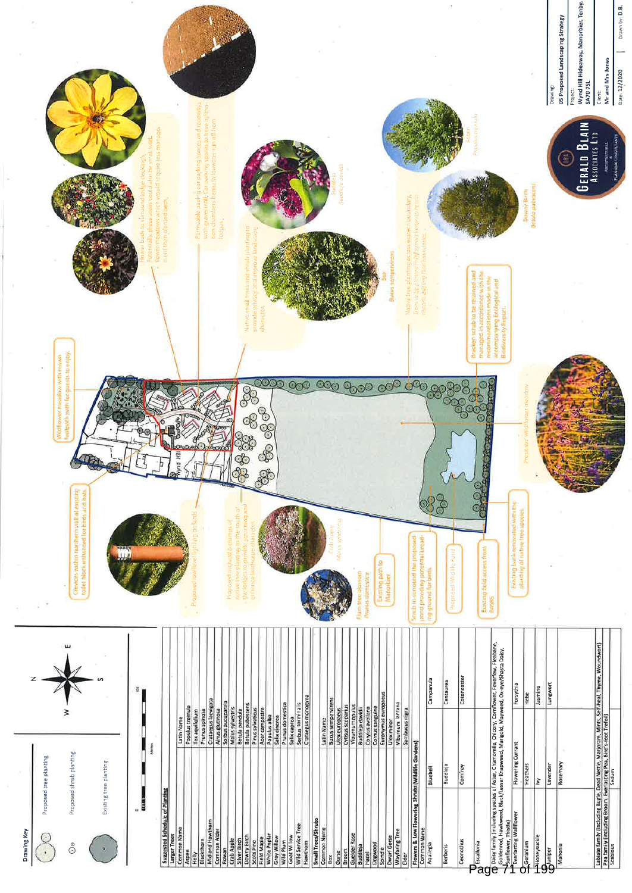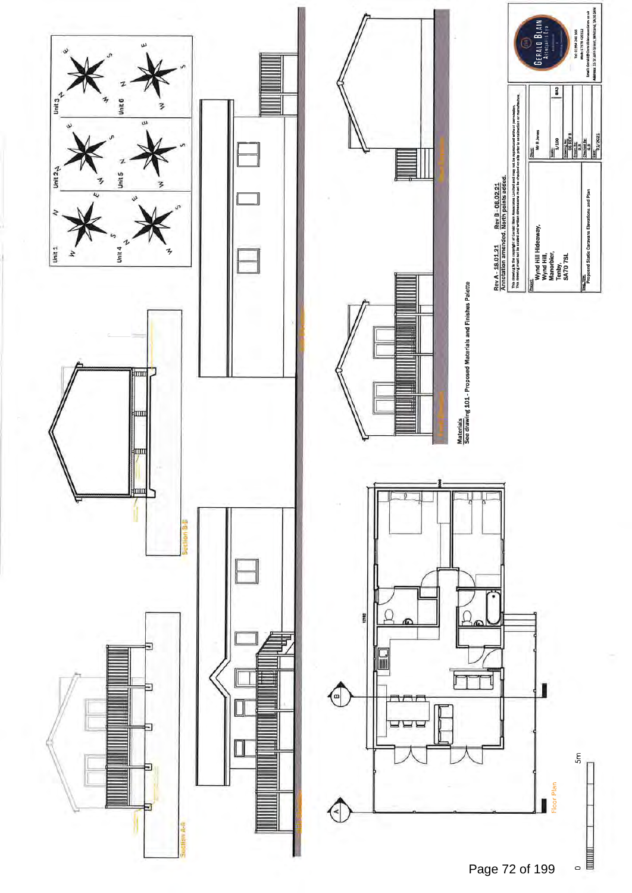



Tel: 01994 740

Ï